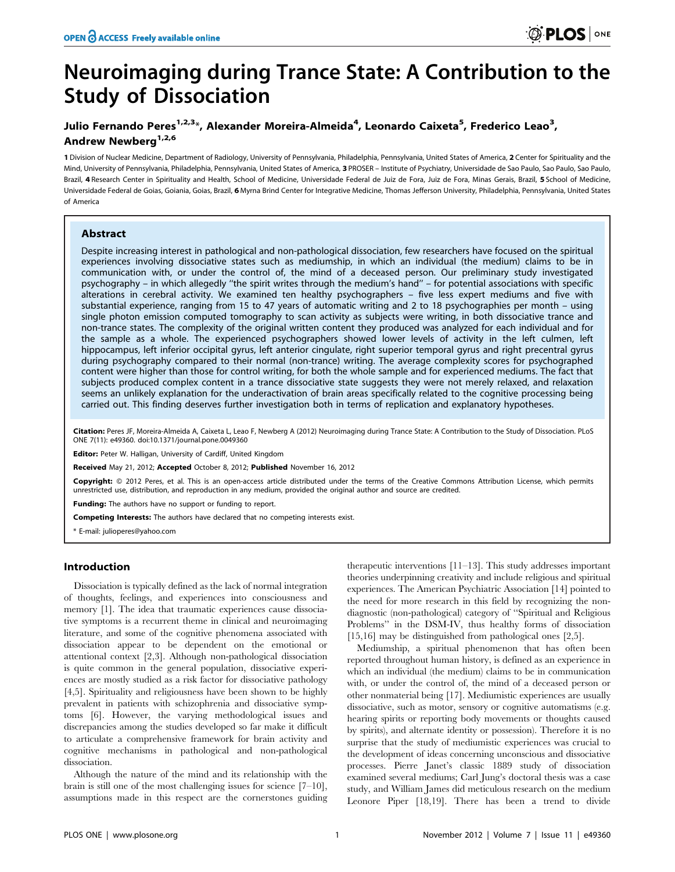# Neuroimaging during Trance State: A Contribution to the Study of Dissociation

# Julio Fernando Peres<sup>1,2,3</sup>\*, Alexander Moreira-Almeida<sup>4</sup>, Leonardo Caixeta<sup>5</sup>, Frederico Leao<sup>3</sup>, Andrew Newberg<sup>1,2,6</sup>

1 Division of Nuclear Medicine, Department of Radiology, University of Pennsylvania, Philadelphia, Pennsylvania, United States of America, 2 Center for Spirituality and the Mind, University of Pennsylvania, Philadelphia, Pennsylvania, United States of America, 3 PROSER - Institute of Psychiatry, Universidade de Sao Paulo, Sao Paulo, Sao Paulo, Sao Paulo, Brazil, 4 Research Center in Spirituality and Health, School of Medicine, Universidade Federal de Juiz de Fora, Juiz de Fora, Minas Gerais, Brazil, 5 School of Medicine, Universidade Federal de Goias, Goiania, Goias, Brazil, 6 Myrna Brind Center for Integrative Medicine, Thomas Jefferson University, Philadelphia, Pennsylvania, United States of America

# Abstract

Despite increasing interest in pathological and non-pathological dissociation, few researchers have focused on the spiritual experiences involving dissociative states such as mediumship, in which an individual (the medium) claims to be in communication with, or under the control of, the mind of a deceased person. Our preliminary study investigated psychography – in which allegedly ''the spirit writes through the medium's hand'' – for potential associations with specific alterations in cerebral activity. We examined ten healthy psychographers – five less expert mediums and five with substantial experience, ranging from 15 to 47 years of automatic writing and 2 to 18 psychographies per month – using single photon emission computed tomography to scan activity as subjects were writing, in both dissociative trance and non-trance states. The complexity of the original written content they produced was analyzed for each individual and for the sample as a whole. The experienced psychographers showed lower levels of activity in the left culmen, left hippocampus, left inferior occipital gyrus, left anterior cingulate, right superior temporal gyrus and right precentral gyrus during psychography compared to their normal (non-trance) writing. The average complexity scores for psychographed content were higher than those for control writing, for both the whole sample and for experienced mediums. The fact that subjects produced complex content in a trance dissociative state suggests they were not merely relaxed, and relaxation seems an unlikely explanation for the underactivation of brain areas specifically related to the cognitive processing being carried out. This finding deserves further investigation both in terms of replication and explanatory hypotheses.

Citation: Peres JF, Moreira-Almeida A, Caixeta L, Leao F, Newberg A (2012) Neuroimaging during Trance State: A Contribution to the Study of Dissociation. PLoS ONE 7(11): e49360. doi:10.1371/journal.pone.0049360

Editor: Peter W. Halligan, University of Cardiff, United Kingdom

Received May 21, 2012; Accepted October 8, 2012; Published November 16, 2012

Copyright: © 2012 Peres, et al. This is an open-access article distributed under the terms of the Creative Commons Attribution License, which permits unrestricted use, distribution, and reproduction in any medium, provided the original author and source are credited.

Funding: The authors have no support or funding to report.

Competing Interests: The authors have declared that no competing interests exist.

\* E-mail: julioperes@yahoo.com

#### Introduction

Dissociation is typically defined as the lack of normal integration of thoughts, feelings, and experiences into consciousness and memory [1]. The idea that traumatic experiences cause dissociative symptoms is a recurrent theme in clinical and neuroimaging literature, and some of the cognitive phenomena associated with dissociation appear to be dependent on the emotional or attentional context [2,3]. Although non-pathological dissociation is quite common in the general population, dissociative experiences are mostly studied as a risk factor for dissociative pathology [4,5]. Spirituality and religiousness have been shown to be highly prevalent in patients with schizophrenia and dissociative symptoms [6]. However, the varying methodological issues and discrepancies among the studies developed so far make it difficult to articulate a comprehensive framework for brain activity and cognitive mechanisms in pathological and non-pathological dissociation.

Although the nature of the mind and its relationship with the brain is still one of the most challenging issues for science  $[7-10]$ , assumptions made in this respect are the cornerstones guiding therapeutic interventions [11–13]. This study addresses important theories underpinning creativity and include religious and spiritual experiences. The American Psychiatric Association [14] pointed to the need for more research in this field by recognizing the nondiagnostic (non-pathological) category of ''Spiritual and Religious Problems'' in the DSM-IV, thus healthy forms of dissociation [15,16] may be distinguished from pathological ones [2,5].

Mediumship, a spiritual phenomenon that has often been reported throughout human history, is defined as an experience in which an individual (the medium) claims to be in communication with, or under the control of, the mind of a deceased person or other nonmaterial being [17]. Mediumistic experiences are usually dissociative, such as motor, sensory or cognitive automatisms (e.g. hearing spirits or reporting body movements or thoughts caused by spirits), and alternate identity or possession). Therefore it is no surprise that the study of mediumistic experiences was crucial to the development of ideas concerning unconscious and dissociative processes. Pierre Janet's classic 1889 study of dissociation examined several mediums; Carl Jung's doctoral thesis was a case study, and William James did meticulous research on the medium Leonore Piper [18,19]. There has been a trend to divide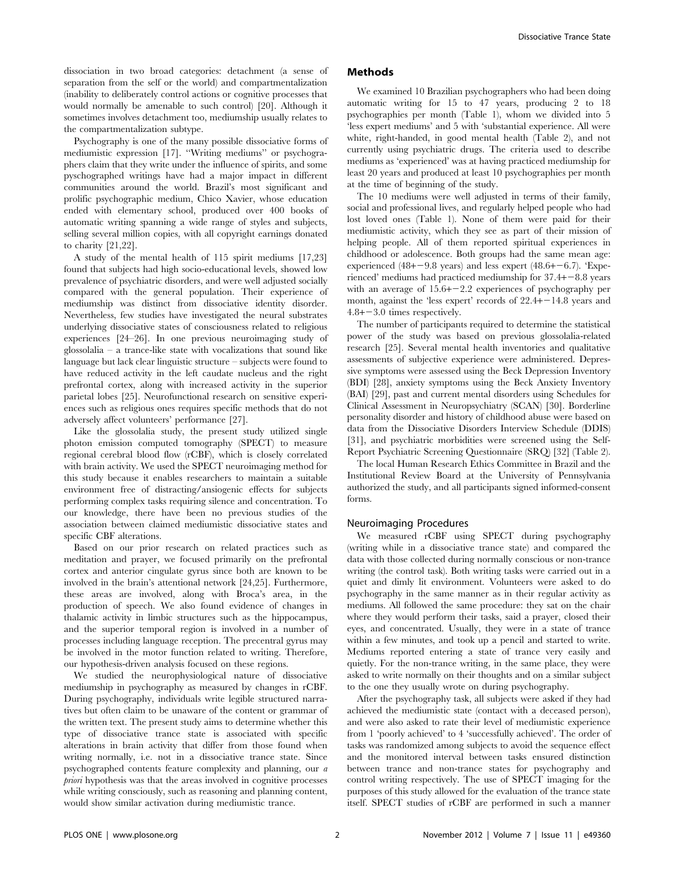dissociation in two broad categories: detachment (a sense of separation from the self or the world) and compartmentalization (inability to deliberately control actions or cognitive processes that would normally be amenable to such control) [20]. Although it sometimes involves detachment too, mediumship usually relates to the compartmentalization subtype.

Psychography is one of the many possible dissociative forms of mediumistic expression [17]. ''Writing mediums'' or psychographers claim that they write under the influence of spirits, and some pyschographed writings have had a major impact in different communities around the world. Brazil's most significant and prolific psychographic medium, Chico Xavier, whose education ended with elementary school, produced over 400 books of automatic writing spanning a wide range of styles and subjects, selling several million copies, with all copyright earnings donated to charity [21,22].

A study of the mental health of 115 spirit mediums [17,23] found that subjects had high socio-educational levels, showed low prevalence of psychiatric disorders, and were well adjusted socially compared with the general population. Their experience of mediumship was distinct from dissociative identity disorder. Nevertheless, few studies have investigated the neural substrates underlying dissociative states of consciousness related to religious experiences [24–26]. In one previous neuroimaging study of glossolalia – a trance-like state with vocalizations that sound like language but lack clear linguistic structure – subjects were found to have reduced activity in the left caudate nucleus and the right prefrontal cortex, along with increased activity in the superior parietal lobes [25]. Neurofunctional research on sensitive experiences such as religious ones requires specific methods that do not adversely affect volunteers' performance [27].

Like the glossolalia study, the present study utilized single photon emission computed tomography (SPECT) to measure regional cerebral blood flow (rCBF), which is closely correlated with brain activity. We used the SPECT neuroimaging method for this study because it enables researchers to maintain a suitable environment free of distracting/ansiogenic effects for subjects performing complex tasks requiring silence and concentration. To our knowledge, there have been no previous studies of the association between claimed mediumistic dissociative states and specific CBF alterations.

Based on our prior research on related practices such as meditation and prayer, we focused primarily on the prefrontal cortex and anterior cingulate gyrus since both are known to be involved in the brain's attentional network [24,25]. Furthermore, these areas are involved, along with Broca's area, in the production of speech. We also found evidence of changes in thalamic activity in limbic structures such as the hippocampus, and the superior temporal region is involved in a number of processes including language reception. The precentral gyrus may be involved in the motor function related to writing. Therefore, our hypothesis-driven analysis focused on these regions.

We studied the neurophysiological nature of dissociative mediumship in psychography as measured by changes in rCBF. During psychography, individuals write legible structured narratives but often claim to be unaware of the content or grammar of the written text. The present study aims to determine whether this type of dissociative trance state is associated with specific alterations in brain activity that differ from those found when writing normally, i.e. not in a dissociative trance state. Since psychographed contents feature complexity and planning, our a priori hypothesis was that the areas involved in cognitive processes while writing consciously, such as reasoning and planning content, would show similar activation during mediumistic trance.

# Methods

We examined 10 Brazilian psychographers who had been doing automatic writing for 15 to 47 years, producing 2 to 18 psychographies per month (Table 1), whom we divided into 5 'less expert mediums' and 5 with 'substantial experience. All were white, right-handed, in good mental health (Table 2), and not currently using psychiatric drugs. The criteria used to describe mediums as 'experienced' was at having practiced mediumship for least 20 years and produced at least 10 psychographies per month at the time of beginning of the study.

The 10 mediums were well adjusted in terms of their family, social and professional lives, and regularly helped people who had lost loved ones (Table 1). None of them were paid for their mediumistic activity, which they see as part of their mission of helping people. All of them reported spiritual experiences in childhood or adolescence. Both groups had the same mean age: experienced  $(48+-9.8 \text{ years})$  and less expert  $(48.6+-6.7)$ . 'Experienced' mediums had practiced mediumship for  $37.4+-8.8$  years with an average of 15.6+22.2 experiences of psychography per month, against the 'less expert' records of  $22.4+14.8$  years and  $4.8 + -3.0$  times respectively.

The number of participants required to determine the statistical power of the study was based on previous glossolalia-related research [25]. Several mental health inventories and qualitative assessments of subjective experience were administered. Depressive symptoms were assessed using the Beck Depression Inventory (BDI) [28], anxiety symptoms using the Beck Anxiety Inventory (BAI) [29], past and current mental disorders using Schedules for Clinical Assessment in Neuropsychiatry (SCAN) [30]. Borderline personality disorder and history of childhood abuse were based on data from the Dissociative Disorders Interview Schedule (DDIS) [31], and psychiatric morbidities were screened using the Self-Report Psychiatric Screening Questionnaire (SRQ) [32] (Table 2).

The local Human Research Ethics Committee in Brazil and the Institutional Review Board at the University of Pennsylvania authorized the study, and all participants signed informed-consent forms.

## Neuroimaging Procedures

We measured rCBF using SPECT during psychography (writing while in a dissociative trance state) and compared the data with those collected during normally conscious or non-trance writing (the control task). Both writing tasks were carried out in a quiet and dimly lit environment. Volunteers were asked to do psychography in the same manner as in their regular activity as mediums. All followed the same procedure: they sat on the chair where they would perform their tasks, said a prayer, closed their eyes, and concentrated. Usually, they were in a state of trance within a few minutes, and took up a pencil and started to write. Mediums reported entering a state of trance very easily and quietly. For the non-trance writing, in the same place, they were asked to write normally on their thoughts and on a similar subject to the one they usually wrote on during psychography.

After the psychography task, all subjects were asked if they had achieved the mediumistic state (contact with a deceased person), and were also asked to rate their level of mediumistic experience from 1 'poorly achieved' to 4 'successfully achieved'. The order of tasks was randomized among subjects to avoid the sequence effect and the monitored interval between tasks ensured distinction between trance and non-trance states for psychography and control writing respectively. The use of SPECT imaging for the purposes of this study allowed for the evaluation of the trance state itself. SPECT studies of rCBF are performed in such a manner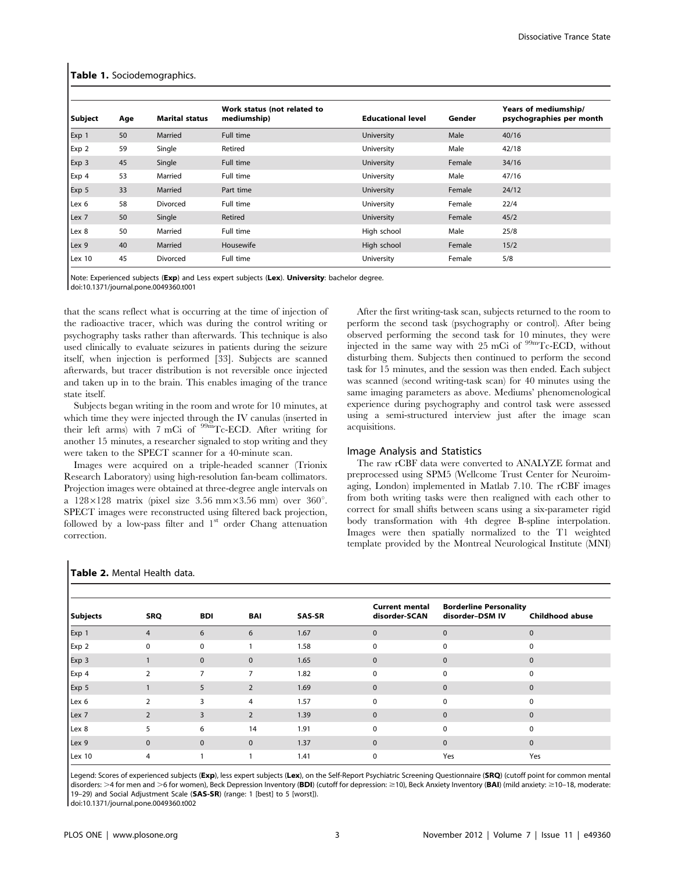#### Table 1. Sociodemographics.

| Subject | Age | <b>Marital status</b> | Work status (not related to<br>mediumship) | <b>Educational level</b> | Gender | Years of mediumship/<br>psychographies per month |
|---------|-----|-----------------------|--------------------------------------------|--------------------------|--------|--------------------------------------------------|
| Exp 1   | 50  | Married               | Full time                                  | University               | Male   | 40/16                                            |
| Exp 2   | 59  | Single                | Retired                                    | University               | Male   | 42/18                                            |
| Exp 3   | 45  | Single                | Full time                                  | University               | Female | 34/16                                            |
| Exp 4   | 53  | Married               | Full time                                  | University               | Male   | 47/16                                            |
| Exp 5   | 33  | Married               | Part time                                  | University               | Female | 24/12                                            |
| Lex 6   | 58  | Divorced              | Full time                                  | University               | Female | 22/4                                             |
| Lex 7   | 50  | Single                | Retired                                    | University               | Female | 45/2                                             |
| Lex 8   | 50  | Married               | Full time                                  | High school              | Male   | 25/8                                             |
| Lex 9   | 40  | Married               | Housewife                                  | High school              | Female | 15/2                                             |
| Lex 10  | 45  | Divorced              | Full time                                  | University               | Female | 5/8                                              |

Note: Experienced subjects (Exp) and Less expert subjects (Lex). University: bachelor degree. doi:10.1371/journal.pone.0049360.t001

that the scans reflect what is occurring at the time of injection of the radioactive tracer, which was during the control writing or psychography tasks rather than afterwards. This technique is also used clinically to evaluate seizures in patients during the seizure itself, when injection is performed [33]. Subjects are scanned afterwards, but tracer distribution is not reversible once injected and taken up in to the brain. This enables imaging of the trance state itself.

Subjects began writing in the room and wrote for 10 minutes, at which time they were injected through the IV canulas (inserted in their left arms) with 7 mCi of 99mTc-ECD. After writing for another 15 minutes, a researcher signaled to stop writing and they were taken to the SPECT scanner for a 40-minute scan.

Images were acquired on a triple-headed scanner (Trionix Research Laboratory) using high-resolution fan-beam collimators. Projection images were obtained at three-degree angle intervals on a  $128\times128$  matrix (pixel size 3.56 mm $\times3.56$  mm) over 360°. SPECT images were reconstructed using filtered back projection, followed by a low-pass filter and  $1<sup>st</sup>$  order Chang attenuation correction.

After the first writing-task scan, subjects returned to the room to perform the second task (psychography or control). After being observed performing the second task for 10 minutes, they were injected in the same way with 25 mCi of 99mTc-ECD, without disturbing them. Subjects then continued to perform the second task for 15 minutes, and the session was then ended. Each subject was scanned (second writing-task scan) for 40 minutes using the same imaging parameters as above. Mediums' phenomenological experience during psychography and control task were assessed using a semi-structured interview just after the image scan acquisitions.

#### Image Analysis and Statistics

The raw rCBF data were converted to ANALYZE format and preprocessed using SPM5 (Wellcome Trust Center for Neuroimaging, London) implemented in Matlab 7.10. The rCBF images from both writing tasks were then realigned with each other to correct for small shifts between scans using a six-parameter rigid body transformation with 4th degree B-spline interpolation. Images were then spatially normalized to the T1 weighted template provided by the Montreal Neurological Institute (MNI)

| <b>Subjects</b>  | <b>SRQ</b>     | <b>BDI</b>     | <b>BAI</b>     | <b>SAS-SR</b> | <b>Current mental</b><br>disorder-SCAN | <b>Borderline Personality</b><br>disorder-DSM IV | <b>Childhood abuse</b> |  |
|------------------|----------------|----------------|----------------|---------------|----------------------------------------|--------------------------------------------------|------------------------|--|
| Exp 1            | $\overline{4}$ | 6              | 6              | 1.67          | $\mathbf 0$                            | $\mathbf{0}$                                     | $\mathbf 0$            |  |
| Exp 2            | $\Omega$       | $\Omega$       |                | 1.58          | $\mathbf 0$                            | 0                                                | $\Omega$               |  |
| Exp 3            |                | $\Omega$       | $\mathbf{0}$   | 1.65          | $\mathbf 0$                            | $\mathbf{0}$                                     | $\mathbf 0$            |  |
| Exp 4            | $\overline{2}$ | $\overline{7}$ | $\overline{7}$ | 1.82          | $\mathbf 0$                            | 0                                                | $\Omega$               |  |
| Exp 5            |                | 5              | $\overline{2}$ | 1.69          | $\mathbf 0$                            | $\mathbf{0}$                                     | $\mathbf 0$            |  |
| Lex <sub>6</sub> | $\overline{2}$ | 3              | 4              | 1.57          | $\mathbf 0$                            | 0                                                | $\Omega$               |  |
| Lex <sub>7</sub> | $\overline{2}$ | 3              | $\overline{2}$ | 1.39          | $\mathbf 0$                            | $\mathbf{0}$                                     | $\mathbf{0}$           |  |
| Lex 8            | 5              | 6              | 14             | 1.91          | $\mathbf 0$                            | $\Omega$                                         | $\Omega$               |  |
| Lex 9            | $\mathbf{0}$   | $\mathbf{0}$   | $\mathbf{0}$   | 1.37          | $\mathbf{0}$                           | $\mathbf{0}$                                     | $\mathbf 0$            |  |
| Lex 10           | 4              |                |                | 1.41          | 0                                      | Yes                                              | Yes                    |  |

Legend: Scores of experienced subjects (Exp), less expert subjects (Lex), on the Self-Report Psychiatric Screening Questionnaire (SRQ) (cutoff point for common mental disorders: >4 for men and >6 for women), Beck Depression Inventory (BDI) (cutoff for depression:  $\geq$ 10), Beck Anxiety Inventory (BAI) (mild anxiety:  $\geq$ 10-18, moderate: 19–29) and Social Adjustment Scale (SAS-SR) (range: 1 [best] to 5 [worst]).

doi:10.1371/journal.pone.0049360.t002

Table 2. Mental Health data.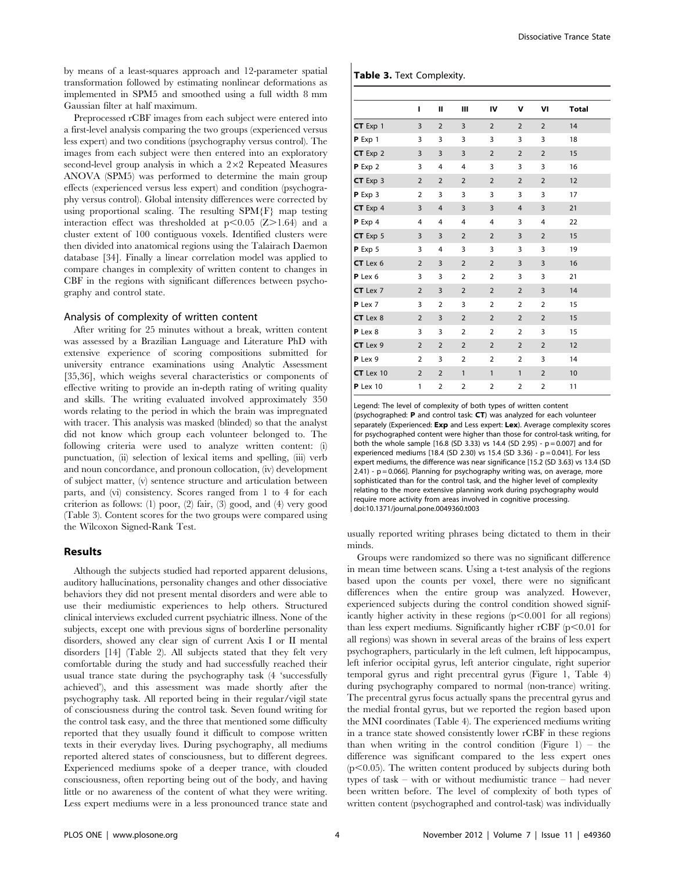by means of a least-squares approach and 12-parameter spatial transformation followed by estimating nonlinear deformations as implemented in SPM5 and smoothed using a full width 8 mm Gaussian filter at half maximum.

Preprocessed rCBF images from each subject were entered into a first-level analysis comparing the two groups (experienced versus less expert) and two conditions (psychography versus control). The images from each subject were then entered into an exploratory second-level group analysis in which a  $2\times2$  Repeated Measures ANOVA (SPM5) was performed to determine the main group effects (experienced versus less expert) and condition (psychography versus control). Global intensity differences were corrected by using proportional scaling. The resulting SPM{F} map testing interaction effect was thresholded at  $p<0.05$  (Z $>1.64$ ) and a cluster extent of 100 contiguous voxels. Identified clusters were then divided into anatomical regions using the Talairach Daemon database [34]. Finally a linear correlation model was applied to compare changes in complexity of written content to changes in CBF in the regions with significant differences between psychography and control state.

### Analysis of complexity of written content

After writing for 25 minutes without a break, written content was assessed by a Brazilian Language and Literature PhD with extensive experience of scoring compositions submitted for university entrance examinations using Analytic Assessment [35,36], which weighs several characteristics or components of effective writing to provide an in-depth rating of writing quality and skills. The writing evaluated involved approximately 350 words relating to the period in which the brain was impregnated with tracer. This analysis was masked (blinded) so that the analyst did not know which group each volunteer belonged to. The following criteria were used to analyze written content: (i) punctuation, (ii) selection of lexical items and spelling, (iii) verb and noun concordance, and pronoun collocation, (iv) development of subject matter, (v) sentence structure and articulation between parts, and (vi) consistency. Scores ranged from 1 to 4 for each criterion as follows: (1) poor, (2) fair, (3) good, and (4) very good (Table 3). Content scores for the two groups were compared using the Wilcoxon Signed-Rank Test.

#### Results

Although the subjects studied had reported apparent delusions, auditory hallucinations, personality changes and other dissociative behaviors they did not present mental disorders and were able to use their mediumistic experiences to help others. Structured clinical interviews excluded current psychiatric illness. None of the subjects, except one with previous signs of borderline personality disorders, showed any clear sign of current Axis I or II mental disorders [14] (Table 2). All subjects stated that they felt very comfortable during the study and had successfully reached their usual trance state during the psychography task (4 'successfully achieved'), and this assessment was made shortly after the psychography task. All reported being in their regular/vigil state of consciousness during the control task. Seven found writing for the control task easy, and the three that mentioned some difficulty reported that they usually found it difficult to compose written texts in their everyday lives. During psychography, all mediums reported altered states of consciousness, but to different degrees. Experienced mediums spoke of a deeper trance, with clouded consciousness, often reporting being out of the body, and having little or no awareness of the content of what they were writing. Less expert mediums were in a less pronounced trance state and

#### Table 3. Text Complexity.

|                 | I              | Ш              | Ш              | IV             | v              | VI             | <b>Total</b> |  |
|-----------------|----------------|----------------|----------------|----------------|----------------|----------------|--------------|--|
| CT Exp 1        | 3              | $\overline{2}$ | 3              | $\overline{2}$ | $\overline{2}$ | $\overline{2}$ | 14           |  |
| $P$ Exp 1       | 3              | 3              | 3              | 3              | 3              | 3              | 18           |  |
| CT Exp 2        | 3              | 3              | 3              | $\overline{2}$ | $\overline{2}$ | $\overline{2}$ | 15           |  |
| $P$ Exp 2       | 3              | 4              | $\overline{4}$ | 3              | 3              | 3              | 16           |  |
| CT Exp 3        | $\overline{2}$ | $\overline{2}$ | $\overline{2}$ | $\overline{2}$ | $\overline{2}$ | $\overline{2}$ | 12           |  |
| $P$ Exp 3       | $\overline{2}$ | 3              | 3              | 3              | 3              | 3              | 17           |  |
| $CT$ Exp 4      | 3              | $\overline{4}$ | 3              | 3              | $\overline{4}$ | 3              | 21           |  |
| $P$ Exp 4       | 4              | 4              | 4              | 4              | 3              | $\overline{4}$ | 22           |  |
| $CT$ Exp $5$    | 3              | 3              | $\overline{2}$ | $\overline{2}$ | 3              | $\overline{2}$ | 15           |  |
| $P$ Exp 5       | 3              | 4              | 3              | 3              | 3              | 3              | 19           |  |
| CT Lex 6        | $\overline{2}$ | 3              | $\overline{2}$ | $\overline{2}$ | 3              | 3              | 16           |  |
| $P$ Lex $6$     | 3              | 3              | $\overline{2}$ | $\overline{2}$ | 3              | 3              | 21           |  |
| CT Lex 7        | $\overline{2}$ | 3              | $\overline{2}$ | $\overline{2}$ | $\overline{2}$ | 3              | 14           |  |
| P Lex 7         | 3              | $\overline{2}$ | 3              | $\overline{2}$ | 2              | $\overline{2}$ | 15           |  |
| <b>CT</b> Lex 8 | $\overline{2}$ | $\overline{3}$ | $\overline{2}$ | $\overline{2}$ | $\overline{2}$ | $\overline{2}$ | 15           |  |
| P Lex 8         | 3              | 3              | $\overline{2}$ | $\overline{2}$ | 2              | 3              | 15           |  |
| CT Lex 9        | $\overline{2}$ | $\overline{2}$ | $\overline{2}$ | $\overline{2}$ | $\overline{2}$ | $\overline{2}$ | 12           |  |
| P Lex 9         | $\overline{2}$ | 3              | $\overline{2}$ | $\overline{2}$ | 2              | 3              | 14           |  |
| CT Lex 10       | $\overline{2}$ | $\overline{2}$ | $\mathbf{1}$   | $\mathbf{1}$   | $\mathbf{1}$   | $\overline{2}$ | 10           |  |
| $P$ Lex 10      | $\mathbf{1}$   | $\overline{2}$ | $\overline{2}$ | $\overline{2}$ | $\overline{2}$ | $\overline{2}$ | 11           |  |

Legend: The level of complexity of both types of written content (psychographed: P and control task: CT) was analyzed for each volunteer separately (Experienced: Exp and Less expert: Lex). Average complexity scores for psychographed content were higher than those for control-task writing, for both the whole sample [16.8 (SD 3.33) vs 14.4 (SD 2.95) - p = 0.007] and for experienced mediums [18.4 (SD 2.30) vs 15.4 (SD 3.36) - p = 0.041]. For less expert mediums, the difference was near significance [15.2 (SD 3.63) vs 13.4 (SD  $2.41$ ) - p = 0.066]. Planning for psychography writing was, on average, more sophisticated than for the control task, and the higher level of complexity relating to the more extensive planning work during psychography would require more activity from areas involved in cognitive processing. doi:10.1371/journal.pone.0049360.t003

usually reported writing phrases being dictated to them in their minds.

Groups were randomized so there was no significant difference in mean time between scans. Using a t-test analysis of the regions based upon the counts per voxel, there were no significant differences when the entire group was analyzed. However, experienced subjects during the control condition showed significantly higher activity in these regions  $(p<0.001$  for all regions) than less expert mediums. Significantly higher rCBF  $(p<0.01$  for all regions) was shown in several areas of the brains of less expert psychographers, particularly in the left culmen, left hippocampus, left inferior occipital gyrus, left anterior cingulate, right superior temporal gyrus and right precentral gyrus (Figure 1, Table 4) during psychography compared to normal (non-trance) writing. The precentral gyrus focus actually spans the precentral gyrus and the medial frontal gyrus, but we reported the region based upon the MNI coordinates (Table 4). The experienced mediums writing in a trance state showed consistently lower rCBF in these regions than when writing in the control condition (Figure 1) – the difference was significant compared to the less expert ones  $(p<0.05)$ . The written content produced by subjects during both types of task – with or without mediumistic trance – had never been written before. The level of complexity of both types of written content (psychographed and control-task) was individually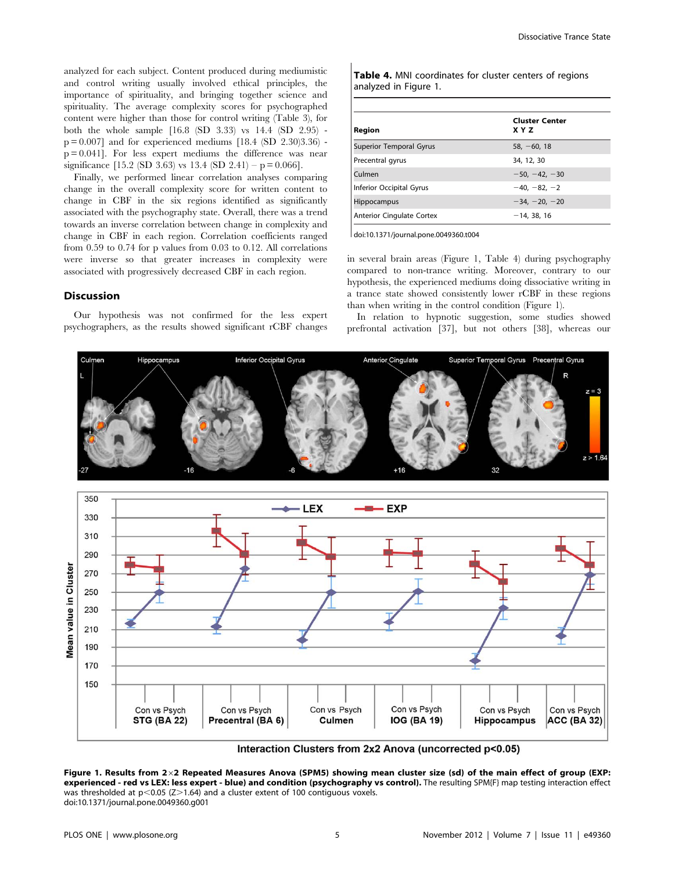analyzed for each subject. Content produced during mediumistic and control writing usually involved ethical principles, the importance of spirituality, and bringing together science and spirituality. The average complexity scores for psychographed content were higher than those for control writing (Table 3), for both the whole sample [16.8 (SD 3.33) vs 14.4 (SD 2.95)  $p = 0.007$ ] and for experienced mediums  $[18.4 \text{ (SD } 2.30)3.36]$   $p = 0.041$ . For less expert mediums the difference was near significance [15.2 (SD 3.63) vs 13.4 (SD 2.41) – p = 0.066].

Finally, we performed linear correlation analyses comparing change in the overall complexity score for written content to change in CBF in the six regions identified as significantly associated with the psychography state. Overall, there was a trend towards an inverse correlation between change in complexity and change in CBF in each region. Correlation coefficients ranged from 0.59 to 0.74 for p values from 0.03 to 0.12. All correlations were inverse so that greater increases in complexity were associated with progressively decreased CBF in each region.

## Discussion

Our hypothesis was not confirmed for the less expert psychographers, as the results showed significant rCBF changes Table 4. MNI coordinates for cluster centers of regions analyzed in Figure 1.

| Region                           | <b>Cluster Center</b><br><b>XYZ</b> |
|----------------------------------|-------------------------------------|
| Superior Temporal Gyrus          | $58, -60, 18$                       |
| Precentral gyrus                 | 34, 12, 30                          |
| Culmen                           | $-50, -42, -30$                     |
| Inferior Occipital Gyrus         | $-40, -82, -2$                      |
| <b>Hippocampus</b>               | $-34, -20, -20$                     |
| <b>Anterior Cingulate Cortex</b> | $-14, 38, 16$                       |

doi:10.1371/journal.pone.0049360.t004

in several brain areas (Figure 1, Table 4) during psychography compared to non-trance writing. Moreover, contrary to our hypothesis, the experienced mediums doing dissociative writing in a trance state showed consistently lower rCBF in these regions than when writing in the control condition (Figure 1).

In relation to hypnotic suggestion, some studies showed prefrontal activation [37], but not others [38], whereas our



Interaction Clusters from 2x2 Anova (uncorrected p<0.05)

Figure 1. Results from  $2\times 2$  Repeated Measures Anova (SPM5) showing mean cluster size (sd) of the main effect of group (EXP: experienced - red vs LEX: less expert - blue) and condition (psychography vs control). The resulting SPM{F} map testing interaction effect was thresholded at  $p<0.05$  (Z $>1.64$ ) and a cluster extent of 100 contiguous voxels. doi:10.1371/journal.pone.0049360.g001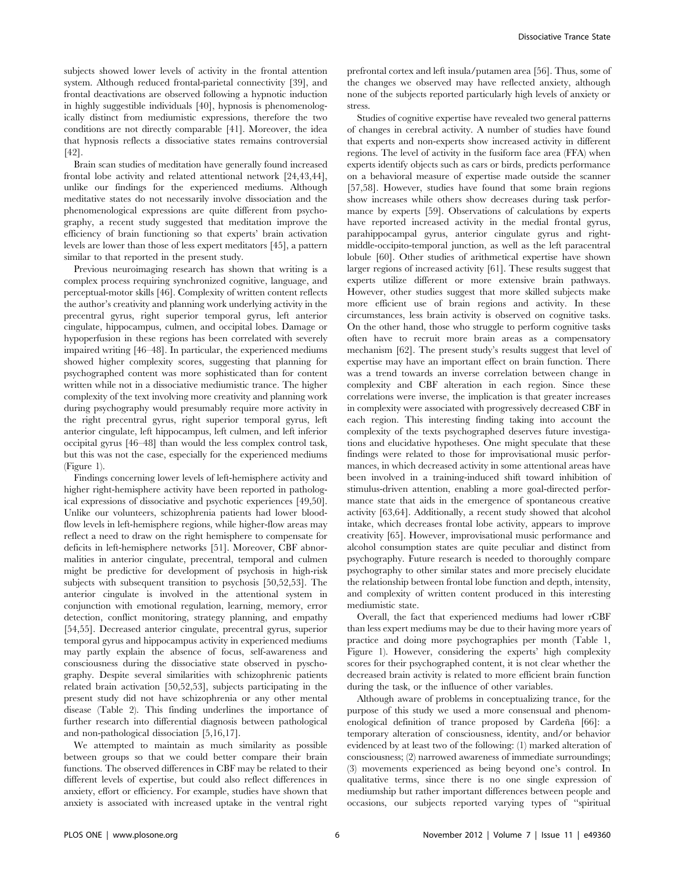subjects showed lower levels of activity in the frontal attention system. Although reduced frontal-parietal connectivity [39], and frontal deactivations are observed following a hypnotic induction in highly suggestible individuals [40], hypnosis is phenomenologically distinct from mediumistic expressions, therefore the two conditions are not directly comparable [41]. Moreover, the idea that hypnosis reflects a dissociative states remains controversial [42].

Brain scan studies of meditation have generally found increased frontal lobe activity and related attentional network [24,43,44], unlike our findings for the experienced mediums. Although meditative states do not necessarily involve dissociation and the phenomenological expressions are quite different from psychography, a recent study suggested that meditation improve the efficiency of brain functioning so that experts' brain activation levels are lower than those of less expert meditators [45], a pattern similar to that reported in the present study.

Previous neuroimaging research has shown that writing is a complex process requiring synchronized cognitive, language, and perceptual-motor skills [46]. Complexity of written content reflects the author's creativity and planning work underlying activity in the precentral gyrus, right superior temporal gyrus, left anterior cingulate, hippocampus, culmen, and occipital lobes. Damage or hypoperfusion in these regions has been correlated with severely impaired writing [46–48]. In particular, the experienced mediums showed higher complexity scores, suggesting that planning for psychographed content was more sophisticated than for content written while not in a dissociative mediumistic trance. The higher complexity of the text involving more creativity and planning work during psychography would presumably require more activity in the right precentral gyrus, right superior temporal gyrus, left anterior cingulate, left hippocampus, left culmen, and left inferior occipital gyrus [46–48] than would the less complex control task, but this was not the case, especially for the experienced mediums (Figure 1).

Findings concerning lower levels of left-hemisphere activity and higher right-hemisphere activity have been reported in pathological expressions of dissociative and psychotic experiences [49,50]. Unlike our volunteers, schizophrenia patients had lower bloodflow levels in left-hemisphere regions, while higher-flow areas may reflect a need to draw on the right hemisphere to compensate for deficits in left-hemisphere networks [51]. Moreover, CBF abnormalities in anterior cingulate, precentral, temporal and culmen might be predictive for development of psychosis in high-risk subjects with subsequent transition to psychosis [50,52,53]. The anterior cingulate is involved in the attentional system in conjunction with emotional regulation, learning, memory, error detection, conflict monitoring, strategy planning, and empathy [54,55]. Decreased anterior cingulate, precentral gyrus, superior temporal gyrus and hippocampus activity in experienced mediums may partly explain the absence of focus, self-awareness and consciousness during the dissociative state observed in pyschography. Despite several similarities with schizophrenic patients related brain activation [50,52,53], subjects participating in the present study did not have schizophrenia or any other mental disease (Table 2). This finding underlines the importance of further research into differential diagnosis between pathological and non-pathological dissociation [5,16,17].

We attempted to maintain as much similarity as possible between groups so that we could better compare their brain functions. The observed differences in CBF may be related to their different levels of expertise, but could also reflect differences in anxiety, effort or efficiency. For example, studies have shown that anxiety is associated with increased uptake in the ventral right

prefrontal cortex and left insula/putamen area [56]. Thus, some of the changes we observed may have reflected anxiety, although none of the subjects reported particularly high levels of anxiety or stress.

Studies of cognitive expertise have revealed two general patterns of changes in cerebral activity. A number of studies have found that experts and non-experts show increased activity in different regions. The level of activity in the fusiform face area (FFA) when experts identify objects such as cars or birds, predicts performance on a behavioral measure of expertise made outside the scanner [57,58]. However, studies have found that some brain regions show increases while others show decreases during task performance by experts [59]. Observations of calculations by experts have reported increased activity in the medial frontal gyrus, parahippocampal gyrus, anterior cingulate gyrus and rightmiddle-occipito-temporal junction, as well as the left paracentral lobule [60]. Other studies of arithmetical expertise have shown larger regions of increased activity [61]. These results suggest that experts utilize different or more extensive brain pathways. However, other studies suggest that more skilled subjects make more efficient use of brain regions and activity. In these circumstances, less brain activity is observed on cognitive tasks. On the other hand, those who struggle to perform cognitive tasks often have to recruit more brain areas as a compensatory mechanism [62]. The present study's results suggest that level of expertise may have an important effect on brain function. There was a trend towards an inverse correlation between change in complexity and CBF alteration in each region. Since these correlations were inverse, the implication is that greater increases in complexity were associated with progressively decreased CBF in each region. This interesting finding taking into account the complexity of the texts psychographed deserves future investigations and elucidative hypotheses. One might speculate that these findings were related to those for improvisational music performances, in which decreased activity in some attentional areas have been involved in a training-induced shift toward inhibition of stimulus-driven attention, enabling a more goal-directed performance state that aids in the emergence of spontaneous creative activity [63,64]. Additionally, a recent study showed that alcohol intake, which decreases frontal lobe activity, appears to improve creativity [65]. However, improvisational music performance and alcohol consumption states are quite peculiar and distinct from psychography. Future research is needed to thoroughly compare psychography to other similar states and more precisely elucidate the relationship between frontal lobe function and depth, intensity, and complexity of written content produced in this interesting mediumistic state.

Overall, the fact that experienced mediums had lower rCBF than less expert mediums may be due to their having more years of practice and doing more psychographies per month (Table 1, Figure 1). However, considering the experts' high complexity scores for their psychographed content, it is not clear whether the decreased brain activity is related to more efficient brain function during the task, or the influence of other variables.

Although aware of problems in conceptualizing trance, for the purpose of this study we used a more consensual and phenomenological definition of trance proposed by Cardeña [66]: a temporary alteration of consciousness, identity, and/or behavior evidenced by at least two of the following: (1) marked alteration of consciousness; (2) narrowed awareness of immediate surroundings; (3) movements experienced as being beyond one's control. In qualitative terms, since there is no one single expression of mediumship but rather important differences between people and occasions, our subjects reported varying types of ''spiritual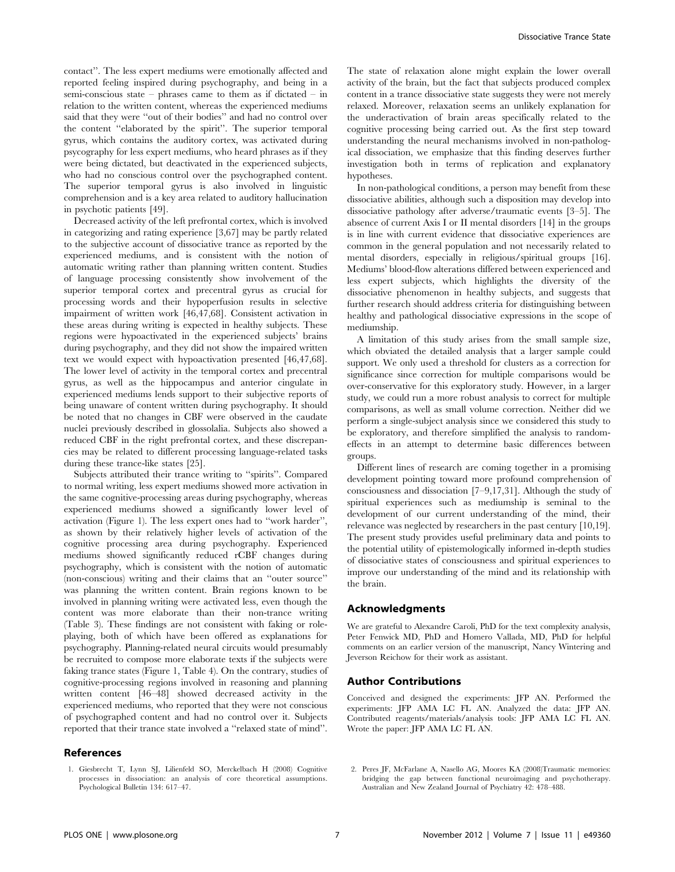contact''. The less expert mediums were emotionally affected and reported feeling inspired during psychography, and being in a semi-conscious state – phrases came to them as if dictated – in relation to the written content, whereas the experienced mediums said that they were ''out of their bodies'' and had no control over the content ''elaborated by the spirit''. The superior temporal gyrus, which contains the auditory cortex, was activated during psycography for less expert mediums, who heard phrases as if they were being dictated, but deactivated in the experienced subjects, who had no conscious control over the psychographed content. The superior temporal gyrus is also involved in linguistic comprehension and is a key area related to auditory hallucination in psychotic patients [49].

Decreased activity of the left prefrontal cortex, which is involved in categorizing and rating experience [3,67] may be partly related to the subjective account of dissociative trance as reported by the experienced mediums, and is consistent with the notion of automatic writing rather than planning written content. Studies of language processing consistently show involvement of the superior temporal cortex and precentral gyrus as crucial for processing words and their hypoperfusion results in selective impairment of written work [46,47,68]. Consistent activation in these areas during writing is expected in healthy subjects. These regions were hypoactivated in the experienced subjects' brains during psychography, and they did not show the impaired written text we would expect with hypoactivation presented [46,47,68]. The lower level of activity in the temporal cortex and precentral gyrus, as well as the hippocampus and anterior cingulate in experienced mediums lends support to their subjective reports of being unaware of content written during psychography. It should be noted that no changes in CBF were observed in the caudate nuclei previously described in glossolalia. Subjects also showed a reduced CBF in the right prefrontal cortex, and these discrepancies may be related to different processing language-related tasks during these trance-like states [25].

Subjects attributed their trance writing to ''spirits''. Compared to normal writing, less expert mediums showed more activation in the same cognitive-processing areas during psychography, whereas experienced mediums showed a significantly lower level of activation (Figure 1). The less expert ones had to ''work harder'', as shown by their relatively higher levels of activation of the cognitive processing area during psychography. Experienced mediums showed significantly reduced rCBF changes during psychography, which is consistent with the notion of automatic (non-conscious) writing and their claims that an ''outer source'' was planning the written content. Brain regions known to be involved in planning writing were activated less, even though the content was more elaborate than their non-trance writing (Table 3). These findings are not consistent with faking or roleplaying, both of which have been offered as explanations for psychography. Planning-related neural circuits would presumably be recruited to compose more elaborate texts if the subjects were faking trance states (Figure 1, Table 4). On the contrary, studies of cognitive-processing regions involved in reasoning and planning written content [46–48] showed decreased activity in the experienced mediums, who reported that they were not conscious of psychographed content and had no control over it. Subjects reported that their trance state involved a ''relaxed state of mind''.

### References

1. Giesbrecht T, Lynn SJ, Lilienfeld SO, Merckelbach H (2008) Cognitive processes in dissociation: an analysis of core theoretical assumptions. Psychological Bulletin 134: 617–47.

The state of relaxation alone might explain the lower overall activity of the brain, but the fact that subjects produced complex content in a trance dissociative state suggests they were not merely relaxed. Moreover, relaxation seems an unlikely explanation for the underactivation of brain areas specifically related to the cognitive processing being carried out. As the first step toward understanding the neural mechanisms involved in non-pathological dissociation, we emphasize that this finding deserves further investigation both in terms of replication and explanatory hypotheses.

In non-pathological conditions, a person may benefit from these dissociative abilities, although such a disposition may develop into dissociative pathology after adverse/traumatic events [3–5]. The absence of current Axis I or II mental disorders [14] in the groups is in line with current evidence that dissociative experiences are common in the general population and not necessarily related to mental disorders, especially in religious/spiritual groups [16]. Mediums' blood-flow alterations differed between experienced and less expert subjects, which highlights the diversity of the dissociative phenomenon in healthy subjects, and suggests that further research should address criteria for distinguishing between healthy and pathological dissociative expressions in the scope of mediumship.

A limitation of this study arises from the small sample size, which obviated the detailed analysis that a larger sample could support. We only used a threshold for clusters as a correction for significance since correction for multiple comparisons would be over-conservative for this exploratory study. However, in a larger study, we could run a more robust analysis to correct for multiple comparisons, as well as small volume correction. Neither did we perform a single-subject analysis since we considered this study to be exploratory, and therefore simplified the analysis to randomeffects in an attempt to determine basic differences between groups.

Different lines of research are coming together in a promising development pointing toward more profound comprehension of consciousness and dissociation [7–9,17,31]. Although the study of spiritual experiences such as mediumship is seminal to the development of our current understanding of the mind, their relevance was neglected by researchers in the past century [10,19]. The present study provides useful preliminary data and points to the potential utility of epistemologically informed in-depth studies of dissociative states of consciousness and spiritual experiences to improve our understanding of the mind and its relationship with the brain.

#### Acknowledgments

We are grateful to Alexandre Caroli, PhD for the text complexity analysis, Peter Fenwick MD, PhD and Homero Vallada, MD, PhD for helpful comments on an earlier version of the manuscript, Nancy Wintering and Jeverson Reichow for their work as assistant.

#### Author Contributions

Conceived and designed the experiments: JFP AN. Performed the experiments: JFP AMA LC FL AN. Analyzed the data: JFP AN. Contributed reagents/materials/analysis tools: JFP AMA LC FL AN. Wrote the paper: JFP AMA LC FL AN.

2. Peres JF, McFarlane A, Nasello AG, Moores KA (2008)Traumatic memories: bridging the gap between functional neuroimaging and psychotherapy. Australian and New Zealand Journal of Psychiatry 42: 478–488.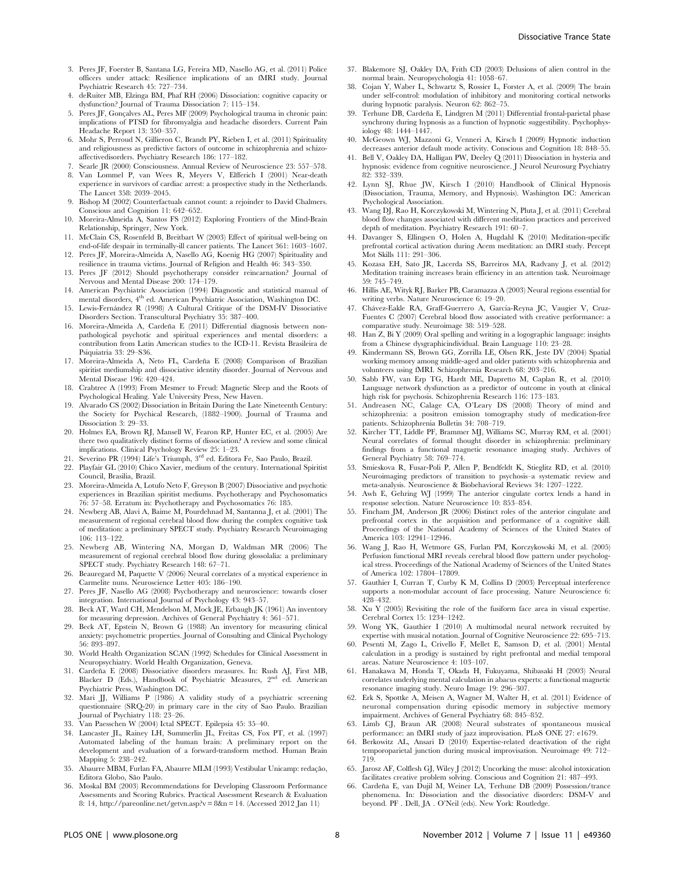- 3. Peres JF, Foerster B, Santana LG, Fereira MD, Nasello AG, et al. (2011) Police officers under attack: Resilience implications of an fMRI study. Journal Psychiatric Research 45: 727–734.
- 4. deRuiter MB, Elzinga BM, Phaf RH (2006) Dissociation: cognitive capacity or dysfunction? Journal of Trauma Dissociation 7: 115–134.
- 5. Peres JF, Gonçalves AL, Peres MF (2009) Psychological trauma in chronic pain: implications of PTSD for fibromyalgia and headache disorders. Current Pain Headache Report 13: 350–357.
- 6. Mohr S, Perroud N, Gillieron C, Brandt PY, Rieben I, et al. (2011) Spirituality and religiousness as predictive factors of outcome in schizophrenia and schizoaffectivedisorders. Psychiatry Research 186: 177–182.
- 7. Searle JR (2000) Consciousness. Annual Review of Neuroscience 23: 557–578.
- 8. Van Lommel P, van Wees R, Meyers V, Elfferich I (2001) Near-death experience in survivors of cardiac arrest: a prospective study in the Netherlands. The Lancet 358: 2039–2045.
- 9. Bishop M (2002) Counterfactuals cannot count: a rejoinder to David Chalmers. Conscious and Cognition 11: 642–652.
- 10. Moreira-Almeida A, Santos FS (2012) Exploring Frontiers of the Mind-Brain Relationship, Springer, New York.
- 11. McClain CS, Rosenfeld B, Breitbart W (2003) Effect of spiritual well-being on end-of-life despair in terminally-ill cancer patients. The Lancet 361: 1603–1607.
- 12. Peres JF, Moreira-Almeida A, Nasello AG, Koenig HG (2007) Spirituality and resilience in trauma victims. Journal of Religion and Health 46: 343–350.
- 13. Peres JF (2012) Should psychotherapy consider reincarnation? Journal of Nervous and Mental Disease 200: 174–179.
- 14. American Psychiatric Association (1994) Diagnostic and statistical manual of mental disorders, 4<sup>th</sup> ed. American Psychiatric Association, Washington DC.
- 15. Lewis-Ferna´ndez R (1998) A Cultural Critique of the DSM-IV Dissociative Disorders Section. Transcultural Psychiatry 35: 387–400.
- 16. Moreira-Almeida A, Cardeña E (2011) Differential diagnosis between nonpathological psychotic and spiritual experiences and mental disorders: a contribution from Latin American studies to the ICD-11. Revista Brasileira de Psiquiatria 33: 29–S36.
- 17. Moreira-Almeida A, Neto FL, Cardeña E (2008) Comparison of Brazilian spiritist mediumship and dissociative identity disorder. Journal of Nervous and Mental Disease 196: 420–424.
- 18. Crabtree A (1993) From Mesmer to Freud: Magnetic Sleep and the Roots of Psychological Healing. Yale University Press, New Haven.
- 19. Alvarado CS (2002) Dissociation in Britain During the Late Nineteenth Century: the Society for Psychical Research, (1882–1900). Journal of Trauma and Dissociation 3: 29–33.
- 20. Holmes EA, Brown RJ, Mansell W, Fearon RP, Hunter EC, et al. (2005) Are there two qualitatively distinct forms of dissociation? A review and some clinical implications. Clinical Psychology Review 25: 1–23.
- 21. Severino PR (1994) Life's Triumph, 3rd ed. Editora Fe, Sao Paulo, Brazil.
- 22. Playfair GL (2010) Chico Xavier, medium of the century. International Spiritist Council, Brasilia, Brazil.
- 23. Moreira-Almeida A, Lotufo Neto F, Greyson B (2007) Dissociative and psychotic experiences in Brazilian spiritist mediums. Psychotherapy and Psychosomatics 76: 57–58. Erratum in: Psychotherapy and Psychosomatics 76: 185.
- 24. Newberg AB, Alavi A, Baime M, Pourdehnad M, Santanna J, et al. (2001) The measurement of regional cerebral blood flow during the complex cognitive task of meditation: a preliminary SPECT study. Psychiatry Research Neuroimaging 106: 113–122.
- 25. Newberg AB, Wintering NA, Morgan D, Waldman MR (2006) The measurement of regional cerebral blood flow during glossolalia: a preliminary SPECT study. Psychiatry Research 148: 67–71.
- 26. Beauregard M, Paquette V (2006) Neural correlates of a mystical experience in Carmelite nuns. Neuroscience Letter 405: 186–190.
- 27. Peres JF, Nasello AG (2008) Psychotherapy and neuroscience: towards closer integration. International Journal of Psychology 43: 943–57.
- 28. Beck AT, Ward CH, Mendelson M, Mock JE, Erbaugh JK (1961) An inventory for measuring depression. Archives of General Psychiatry 4: 561–571.
- 29. Beck AT, Epstein N, Brown G (1988) An inventory for measuring clinical anxiety: psychometric properties. Journal of Consulting and Clinical Psychology 56: 893–897.
- 30. World Health Organization SCAN (1992) Schedules for Clinical Assessment in Neuropsychiatry. World Health Organization, Geneva.
- 31. Cardeña E (2008) Dissociative disorders measures. In: Rush AJ, First MB, Blacker D (Eds.), Handbook of Psychiatric Measures, 2<sup>nd</sup> ed. American Psychiatric Press, Washington DC.
- 32. Mari JJ, Williams P (1986) A validity study of a psychiatric screening questionnaire (SRQ-20) in primary care in the city of Sao Paulo. Brazilian Journal of Psychiatry 118: 23–26.
- 33. Van Paesschen W (2004) Ictal SPECT. Epilepsia 45: 35–40.
- 34. Lancaster JL, Rainey LH, Summerlin JL, Freitas CS, Fox PT, et al. (1997) Automated labeling of the human brain: A preliminary report on the development and evaluation of a forward-transform method. Human Brain Mapping 5: 238–242.
- 35. Abaurre MBM, Furlan FA, Abaurre MLM (1993) Vestibular Unicamp: redação, Editora Globo, São Paulo.
- 36. Moskal BM (2003) Recommendations for Developing Classroom Performance Assessments and Scoring Rubrics. Practical Assessment Research & Evaluation 8: 14, http://pareonline.net/getvn.asp?v = 8&n = 14. (Accessed 2012 Jan 11)
- 37. Blakemore SJ, Oakley DA, Frith CD (2003) Delusions of alien control in the normal brain. Neuropsychologia 41: 1058–67.
- 38. Cojan Y, Waber L, Schwartz S, Rossier L, Forster A, et al. (2009) The brain under self-control: modulation of inhibitory and monitoring cortical networks during hypnotic paralysis. Neuron 62: 862–75.
- 39. Terhune DB, Cardeña E, Lindgren M (2011) Differential frontal-parietal phase synchrony during hypnosis as a function of hypnotic suggestibility. Psychophysiology 48: 1444–1447.
- 40. McGeown WJ, Mazzoni G, Venneri A, Kirsch I (2009) Hypnotic induction decreases anterior default mode activity. Conscious and Cognition 18: 848–55.
- 41. Bell V, Oakley DA, Halligan PW, Deeley Q (2011) Dissociation in hysteria and hypnosis: evidence from cognitive neuroscience. J Neurol Neurosurg Psychiatry 82: 332–339.
- 42. Lynn SJ, Rhue JW, Kirsch I (2010) Handbook of Clinical Hypnosis (Dissociation, Trauma, Memory, and Hypnosis). Washington DC: American Psychological Association.
- 43. Wang DJ, Rao H, Korczykowski M, Wintering N, Pluta J, et al. (2011) Cerebral blood flow changes associated with different meditation practices and perceived depth of meditation. Psychiatry Research 191: 60–7.
- 44. Davanger S, Ellingsen O, Holen A, Hugdahl K (2010) Meditation-specific prefrontal cortical activation during Acem meditation: an fMRI study. Percept Mot Skills 111: 291–306.
- 45. Kozasa EH, Sato JR, Lacerda SS, Barreiros MA, Radvany J, et al. (2012) Meditation training increases brain efficiency in an attention task. Neuroimage 59: 745–749.
- 46. Hillis AE, Wityk RJ, Barker PB, Caramazza A (2003) Neural regions essential for writing verbs. Nature Neuroscience 6: 19–20.
- 47. Chávez-Eakle RA, Graff-Guerrero A, García-Reyna JC, Vaugier V, Cruz-Fuentes C (2007) Cerebral blood flow associated with creative performance: a comparative study. Neuroimage 38: 519–528.
- 48. Han Z, Bi Y (2009) Oral spelling and writing in a logographic language: insights from a Chinese dysgraphicindividual. Brain Language 110: 23–28.
- 49. Kindermann SS, Brown GG, Zorrilla LE, Olsen RK, Jeste DV (2004) Spatial working memory among middle-aged and older patients with schizophrenia and volunteers using fMRI. Schizophrenia Research 68: 203–216.
- 50. Sabb FW, van Erp TG, Hardt ME, Dapretto M, Caplan R, et al. (2010) Language network dysfunction as a predictor of outcome in youth at clinical high risk for psychosis. Schizophrenia Research 116: 173–183.
- 51. Andreasen NC, Calage CA, O'Leary DS (2008) Theory of mind and schizophrenia: a positron emission tomography study of medication-free patients. Schizophrenia Bulletin 34: 708–719.
- 52. Kircher TT, Liddle PF, Brammer MJ, Williams SC, Murray RM, et al. (2001) Neural correlates of formal thought disorder in schizophrenia: preliminary findings from a functional magnetic resonance imaging study. Archives of General Psychiatry 58: 769–774.
- 53. Smieskova R, Fusar-Poli P, Allen P, Bendfeldt K, Stieglitz RD, et al. (2010) Neuroimaging predictors of transition to psychosis–a systematic review and meta-analysis. Neuroscience & Biobehavioral Reviews 34: 1207–1222.
- 54. Awh E, Gehring WJ (1999) The anterior cingulate cortex lends a hand in response selection. Nature Neuroscience 10: 853–854.
- 55. Fincham JM, Anderson JR (2006) Distinct roles of the anterior cingulate and prefrontal cortex in the acquisition and performance of a cognitive skill. Proceedings of the National Academy of Sciences of the United States of America 103: 12941–12946.
- 56. Wang J, Rao H, Wetmore GS, Furlan PM, Korczykowski M, et al. (2005) Perfusion functional MRI reveals cerebral blood flow pattern under psychological stress. Proceedings of the National Academy of Sciences of the United States of America 102: 17804–17809.
- 57. Gauthier I, Curran T, Curby K M, Collins D (2003) Perceptual interference supports a non-modular account of face processing. Nature Neuroscience 6: 428–432.
- 58. Xu Y (2005) Revisiting the role of the fusiform face area in visual expertise. Cerebral Cortex 15: 1234–1242.
- 59. Wong YK, Gauthier I (2010) A multimodal neural network recruited by expertise with musical notation. Journal of Cognitive Neuroscience 22: 695–713.
- 60. Pesenti M, Zago L, Crivello F, Mellet E, Samson D, et al. (2001) Mental calculation in a prodigy is sustained by right prefrontal and medial temporal areas. Nature Neuroscience 4: 103–107.
- 61. Hanakawa M, Honda T, Okada H, Fukuyama, Shibasaki H (2003) Neural correlates underlying mental calculation in abacus experts: a functional magnetic resonance imaging study. Neuro Image 19: 296–307.
- 62. Erk S, Spottke A, Meisen A, Wagner M, Walter H, et al. (2011) Evidence of neuronal compensation during episodic memory in subjective memory impairment. Archives of General Psychiatry 68: 845–852.
- 63. Limb CJ, Braun AR (2008) Neural substrates of spontaneous musical performance: an fMRI study of jazz improvisation. PLoS ONE 27: e1679.
- 64. Berkowitz AL, Ansari D (2010) Expertise-related deactivation of the right temporoparietal junction during musical improvisation. Neuroimage 49: 712– 719.
- 65. Jarosz AF, Colflesh GJ, Wiley J (2012) Uncorking the muse: alcohol intoxication facilitates creative problem solving. Conscious and Cognition 21: 487–493.
- 66. Cardeña E, van Dujil M, Weiner LA, Terhune DB (2009) Possession/trance phenomena. In: Dissociation and the dissociative disorders: DSM-V and beyond. PF . Dell, JA . O'Neil (eds). New York: Routledge.